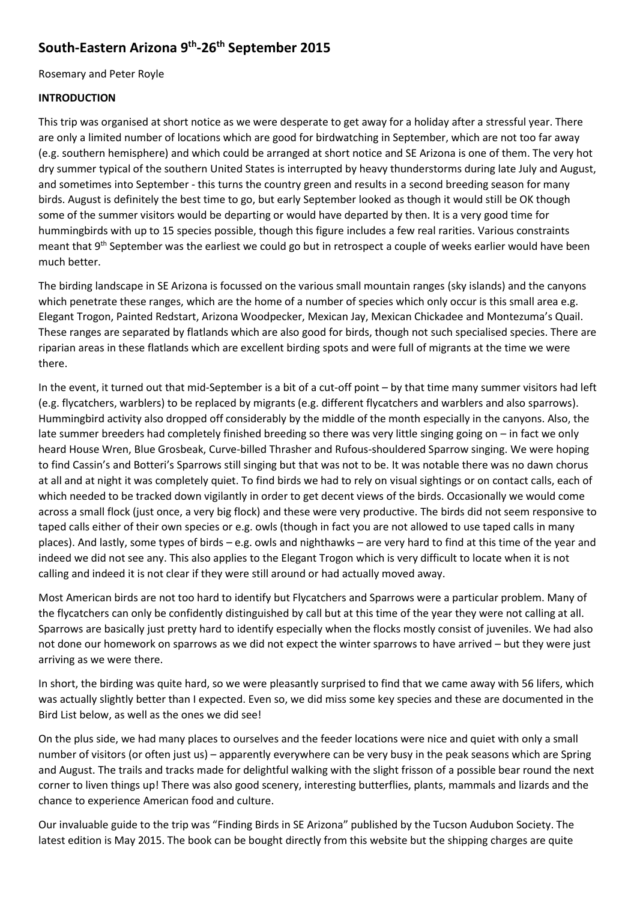# **South-Eastern Arizona 9th -26th September 2015**

Rosemary and Peter Royle

#### **INTRODUCTION**

This trip was organised at short notice as we were desperate to get away for a holiday after a stressful year. There are only a limited number of locations which are good for birdwatching in September, which are not too far away (e.g. southern hemisphere) and which could be arranged at short notice and SE Arizona is one of them. The very hot dry summer typical of the southern United States is interrupted by heavy thunderstorms during late July and August, and sometimes into September - this turns the country green and results in a second breeding season for many birds. August is definitely the best time to go, but early September looked as though it would still be OK though some of the summer visitors would be departing or would have departed by then. It is a very good time for hummingbirds with up to 15 species possible, though this figure includes a few real rarities. Various constraints meant that 9<sup>th</sup> September was the earliest we could go but in retrospect a couple of weeks earlier would have been much better.

The birding landscape in SE Arizona is focussed on the various small mountain ranges (sky islands) and the canyons which penetrate these ranges, which are the home of a number of species which only occur is this small area e.g. Elegant Trogon, Painted Redstart, Arizona Woodpecker, Mexican Jay, Mexican Chickadee and Montezuma's Quail. These ranges are separated by flatlands which are also good for birds, though not such specialised species. There are riparian areas in these flatlands which are excellent birding spots and were full of migrants at the time we were there.

In the event, it turned out that mid-September is a bit of a cut-off point – by that time many summer visitors had left (e.g. flycatchers, warblers) to be replaced by migrants (e.g. different flycatchers and warblers and also sparrows). Hummingbird activity also dropped off considerably by the middle of the month especially in the canyons. Also, the late summer breeders had completely finished breeding so there was very little singing going on – in fact we only heard House Wren, Blue Grosbeak, Curve-billed Thrasher and Rufous-shouldered Sparrow singing. We were hoping to find Cassin's and Botteri's Sparrows still singing but that was not to be. It was notable there was no dawn chorus at all and at night it was completely quiet. To find birds we had to rely on visual sightings or on contact calls, each of which needed to be tracked down vigilantly in order to get decent views of the birds. Occasionally we would come across a small flock (just once, a very big flock) and these were very productive. The birds did not seem responsive to taped calls either of their own species or e.g. owls (though in fact you are not allowed to use taped calls in many places). And lastly, some types of birds – e.g. owls and nighthawks – are very hard to find at this time of the year and indeed we did not see any. This also applies to the Elegant Trogon which is very difficult to locate when it is not calling and indeed it is not clear if they were still around or had actually moved away.

Most American birds are not too hard to identify but Flycatchers and Sparrows were a particular problem. Many of the flycatchers can only be confidently distinguished by call but at this time of the year they were not calling at all. Sparrows are basically just pretty hard to identify especially when the flocks mostly consist of juveniles. We had also not done our homework on sparrows as we did not expect the winter sparrows to have arrived – but they were just arriving as we were there.

In short, the birding was quite hard, so we were pleasantly surprised to find that we came away with 56 lifers, which was actually slightly better than I expected. Even so, we did miss some key species and these are documented in the Bird List below, as well as the ones we did see!

On the plus side, we had many places to ourselves and the feeder locations were nice and quiet with only a small number of visitors (or often just us) – apparently everywhere can be very busy in the peak seasons which are Spring and August. The trails and tracks made for delightful walking with the slight frisson of a possible bear round the next corner to liven things up! There was also good scenery, interesting butterflies, plants, mammals and lizards and the chance to experience American food and culture.

Our invaluable guide to the trip was "Finding Birds in SE Arizona" published by the Tucson Audubon Society. The latest edition is May 2015. The book can be bought directly from this website but the shipping charges are quite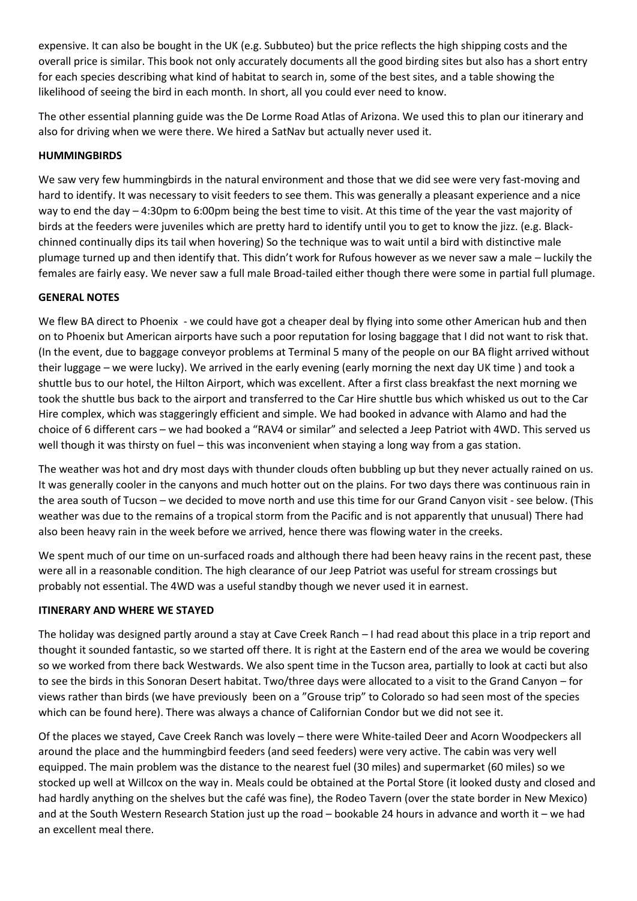expensive. It can also be bought in the UK (e.g. Subbuteo) but the price reflects the high shipping costs and the overall price is similar. This book not only accurately documents all the good birding sites but also has a short entry for each species describing what kind of habitat to search in, some of the best sites, and a table showing the likelihood of seeing the bird in each month. In short, all you could ever need to know.

The other essential planning guide was the De Lorme Road Atlas of Arizona. We used this to plan our itinerary and also for driving when we were there. We hired a SatNav but actually never used it.

#### **HUMMINGBIRDS**

We saw very few hummingbirds in the natural environment and those that we did see were very fast-moving and hard to identify. It was necessary to visit feeders to see them. This was generally a pleasant experience and a nice way to end the day – 4:30pm to 6:00pm being the best time to visit. At this time of the year the vast majority of birds at the feeders were juveniles which are pretty hard to identify until you to get to know the jizz. (e.g. Blackchinned continually dips its tail when hovering) So the technique was to wait until a bird with distinctive male plumage turned up and then identify that. This didn't work for Rufous however as we never saw a male – luckily the females are fairly easy. We never saw a full male Broad-tailed either though there were some in partial full plumage.

#### **GENERAL NOTES**

We flew BA direct to Phoenix - we could have got a cheaper deal by flying into some other American hub and then on to Phoenix but American airports have such a poor reputation for losing baggage that I did not want to risk that. (In the event, due to baggage conveyor problems at Terminal 5 many of the people on our BA flight arrived without their luggage – we were lucky). We arrived in the early evening (early morning the next day UK time ) and took a shuttle bus to our hotel, the Hilton Airport, which was excellent. After a first class breakfast the next morning we took the shuttle bus back to the airport and transferred to the Car Hire shuttle bus which whisked us out to the Car Hire complex, which was staggeringly efficient and simple. We had booked in advance with Alamo and had the choice of 6 different cars – we had booked a "RAV4 or similar" and selected a Jeep Patriot with 4WD. This served us well though it was thirsty on fuel – this was inconvenient when staying a long way from a gas station.

The weather was hot and dry most days with thunder clouds often bubbling up but they never actually rained on us. It was generally cooler in the canyons and much hotter out on the plains. For two days there was continuous rain in the area south of Tucson – we decided to move north and use this time for our Grand Canyon visit - see below. (This weather was due to the remains of a tropical storm from the Pacific and is not apparently that unusual) There had also been heavy rain in the week before we arrived, hence there was flowing water in the creeks.

We spent much of our time on un-surfaced roads and although there had been heavy rains in the recent past, these were all in a reasonable condition. The high clearance of our Jeep Patriot was useful for stream crossings but probably not essential. The 4WD was a useful standby though we never used it in earnest.

### **ITINERARY AND WHERE WE STAYED**

The holiday was designed partly around a stay at Cave Creek Ranch – I had read about this place in a trip report and thought it sounded fantastic, so we started off there. It is right at the Eastern end of the area we would be covering so we worked from there back Westwards. We also spent time in the Tucson area, partially to look at cacti but also to see the birds in this Sonoran Desert habitat. Two/three days were allocated to a visit to the Grand Canyon – for views rather than birds (we have previously been on a "Grouse trip" to Colorado so had seen most of the species which can be found here). There was always a chance of Californian Condor but we did not see it.

Of the places we stayed, Cave Creek Ranch was lovely – there were White-tailed Deer and Acorn Woodpeckers all around the place and the hummingbird feeders (and seed feeders) were very active. The cabin was very well equipped. The main problem was the distance to the nearest fuel (30 miles) and supermarket (60 miles) so we stocked up well at Willcox on the way in. Meals could be obtained at the Portal Store (it looked dusty and closed and had hardly anything on the shelves but the café was fine), the Rodeo Tavern (over the state border in New Mexico) and at the South Western Research Station just up the road – bookable 24 hours in advance and worth it – we had an excellent meal there.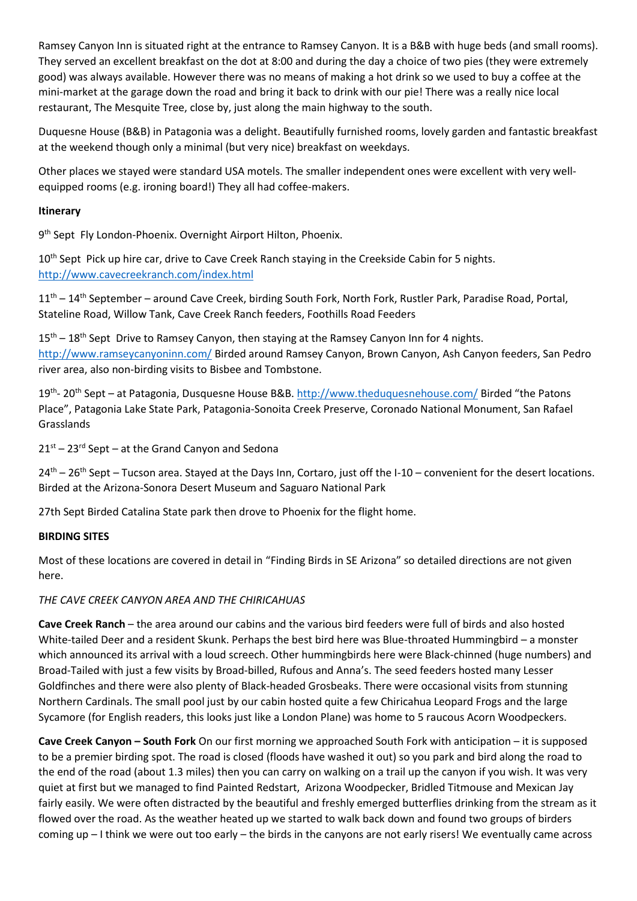Ramsey Canyon Inn is situated right at the entrance to Ramsey Canyon. It is a B&B with huge beds (and small rooms). They served an excellent breakfast on the dot at 8:00 and during the day a choice of two pies (they were extremely good) was always available. However there was no means of making a hot drink so we used to buy a coffee at the mini-market at the garage down the road and bring it back to drink with our pie! There was a really nice local restaurant, The Mesquite Tree, close by, just along the main highway to the south.

Duquesne House (B&B) in Patagonia was a delight. Beautifully furnished rooms, lovely garden and fantastic breakfast at the weekend though only a minimal (but very nice) breakfast on weekdays.

Other places we stayed were standard USA motels. The smaller independent ones were excellent with very wellequipped rooms (e.g. ironing board!) They all had coffee-makers.

#### **Itinerary**

9 th Sept Fly London-Phoenix. Overnight Airport Hilton, Phoenix.

10<sup>th</sup> Sept Pick up hire car, drive to Cave Creek Ranch staying in the Creekside Cabin for 5 nights. <http://www.cavecreekranch.com/index.html>

11<sup>th</sup> – 14<sup>th</sup> September – around Cave Creek, birding South Fork, North Fork, Rustler Park, Paradise Road, Portal, Stateline Road, Willow Tank, Cave Creek Ranch feeders, Foothills Road Feeders

 $15<sup>th</sup> - 18<sup>th</sup>$  Sept Drive to Ramsey Canyon, then staying at the Ramsey Canyon Inn for 4 nights. <http://www.ramseycanyoninn.com/> Birded around Ramsey Canyon, Brown Canyon, Ash Canyon feeders, San Pedro river area, also non-birding visits to Bisbee and Tombstone.

19<sup>th</sup>- 20<sup>th</sup> Sept – at Patagonia, Dusquesne House B&B[. http://www.theduquesnehouse.com/](http://www.theduquesnehouse.com/) Birded "the Patons Place", Patagonia Lake State Park, Patagonia-Sonoita Creek Preserve, Coronado National Monument, San Rafael Grasslands

 $21<sup>st</sup> - 23<sup>rd</sup>$  Sept – at the Grand Canyon and Sedona

 $24<sup>th</sup> - 26<sup>th</sup>$  Sept – Tucson area. Stayed at the Days Inn, Cortaro, just off the I-10 – convenient for the desert locations. Birded at the Arizona-Sonora Desert Museum and Saguaro National Park

27th Sept Birded Catalina State park then drove to Phoenix for the flight home.

#### **BIRDING SITES**

Most of these locations are covered in detail in "Finding Birds in SE Arizona" so detailed directions are not given here.

### *THE CAVE CREEK CANYON AREA AND THE CHIRICAHUAS*

**Cave Creek Ranch** – the area around our cabins and the various bird feeders were full of birds and also hosted White-tailed Deer and a resident Skunk. Perhaps the best bird here was Blue-throated Hummingbird – a monster which announced its arrival with a loud screech. Other hummingbirds here were Black-chinned (huge numbers) and Broad-Tailed with just a few visits by Broad-billed, Rufous and Anna's. The seed feeders hosted many Lesser Goldfinches and there were also plenty of Black-headed Grosbeaks. There were occasional visits from stunning Northern Cardinals. The small pool just by our cabin hosted quite a few Chiricahua Leopard Frogs and the large Sycamore (for English readers, this looks just like a London Plane) was home to 5 raucous Acorn Woodpeckers.

**Cave Creek Canyon – South Fork** On our first morning we approached South Fork with anticipation – it is supposed to be a premier birding spot. The road is closed (floods have washed it out) so you park and bird along the road to the end of the road (about 1.3 miles) then you can carry on walking on a trail up the canyon if you wish. It was very quiet at first but we managed to find Painted Redstart, Arizona Woodpecker, Bridled Titmouse and Mexican Jay fairly easily. We were often distracted by the beautiful and freshly emerged butterflies drinking from the stream as it flowed over the road. As the weather heated up we started to walk back down and found two groups of birders coming up – I think we were out too early – the birds in the canyons are not early risers! We eventually came across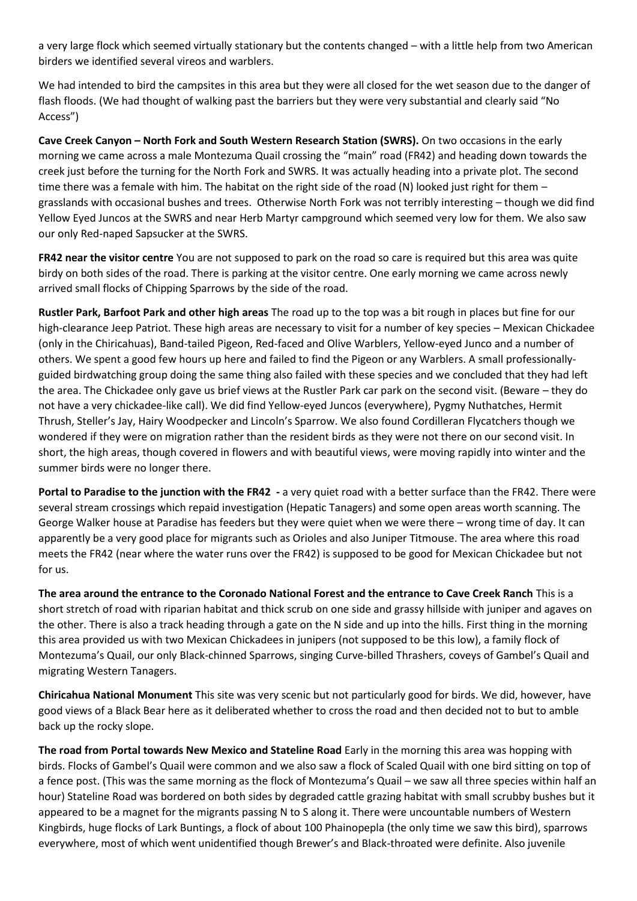a very large flock which seemed virtually stationary but the contents changed – with a little help from two American birders we identified several vireos and warblers.

We had intended to bird the campsites in this area but they were all closed for the wet season due to the danger of flash floods. (We had thought of walking past the barriers but they were very substantial and clearly said "No Access")

**Cave Creek Canyon – North Fork and South Western Research Station (SWRS).** On two occasions in the early morning we came across a male Montezuma Quail crossing the "main" road (FR42) and heading down towards the creek just before the turning for the North Fork and SWRS. It was actually heading into a private plot. The second time there was a female with him. The habitat on the right side of the road (N) looked just right for them grasslands with occasional bushes and trees. Otherwise North Fork was not terribly interesting – though we did find Yellow Eyed Juncos at the SWRS and near Herb Martyr campground which seemed very low for them. We also saw our only Red-naped Sapsucker at the SWRS.

**FR42 near the visitor centre** You are not supposed to park on the road so care is required but this area was quite birdy on both sides of the road. There is parking at the visitor centre. One early morning we came across newly arrived small flocks of Chipping Sparrows by the side of the road.

**Rustler Park, Barfoot Park and other high areas** The road up to the top was a bit rough in places but fine for our high-clearance Jeep Patriot. These high areas are necessary to visit for a number of key species – Mexican Chickadee (only in the Chiricahuas), Band-tailed Pigeon, Red-faced and Olive Warblers, Yellow-eyed Junco and a number of others. We spent a good few hours up here and failed to find the Pigeon or any Warblers. A small professionallyguided birdwatching group doing the same thing also failed with these species and we concluded that they had left the area. The Chickadee only gave us brief views at the Rustler Park car park on the second visit. (Beware – they do not have a very chickadee-like call). We did find Yellow-eyed Juncos (everywhere), Pygmy Nuthatches, Hermit Thrush, Steller's Jay, Hairy Woodpecker and Lincoln's Sparrow. We also found Cordilleran Flycatchers though we wondered if they were on migration rather than the resident birds as they were not there on our second visit. In short, the high areas, though covered in flowers and with beautiful views, were moving rapidly into winter and the summer birds were no longer there.

**Portal to Paradise to the junction with the FR42 -** a very quiet road with a better surface than the FR42. There were several stream crossings which repaid investigation (Hepatic Tanagers) and some open areas worth scanning. The George Walker house at Paradise has feeders but they were quiet when we were there – wrong time of day. It can apparently be a very good place for migrants such as Orioles and also Juniper Titmouse. The area where this road meets the FR42 (near where the water runs over the FR42) is supposed to be good for Mexican Chickadee but not for us.

**The area around the entrance to the Coronado National Forest and the entrance to Cave Creek Ranch** This is a short stretch of road with riparian habitat and thick scrub on one side and grassy hillside with juniper and agaves on the other. There is also a track heading through a gate on the N side and up into the hills. First thing in the morning this area provided us with two Mexican Chickadees in junipers (not supposed to be this low), a family flock of Montezuma's Quail, our only Black-chinned Sparrows, singing Curve-billed Thrashers, coveys of Gambel's Quail and migrating Western Tanagers.

**Chiricahua National Monument** This site was very scenic but not particularly good for birds. We did, however, have good views of a Black Bear here as it deliberated whether to cross the road and then decided not to but to amble back up the rocky slope.

**The road from Portal towards New Mexico and Stateline Road** Early in the morning this area was hopping with birds. Flocks of Gambel's Quail were common and we also saw a flock of Scaled Quail with one bird sitting on top of a fence post. (This was the same morning as the flock of Montezuma's Quail – we saw all three species within half an hour) Stateline Road was bordered on both sides by degraded cattle grazing habitat with small scrubby bushes but it appeared to be a magnet for the migrants passing N to S along it. There were uncountable numbers of Western Kingbirds, huge flocks of Lark Buntings, a flock of about 100 Phainopepla (the only time we saw this bird), sparrows everywhere, most of which went unidentified though Brewer's and Black-throated were definite. Also juvenile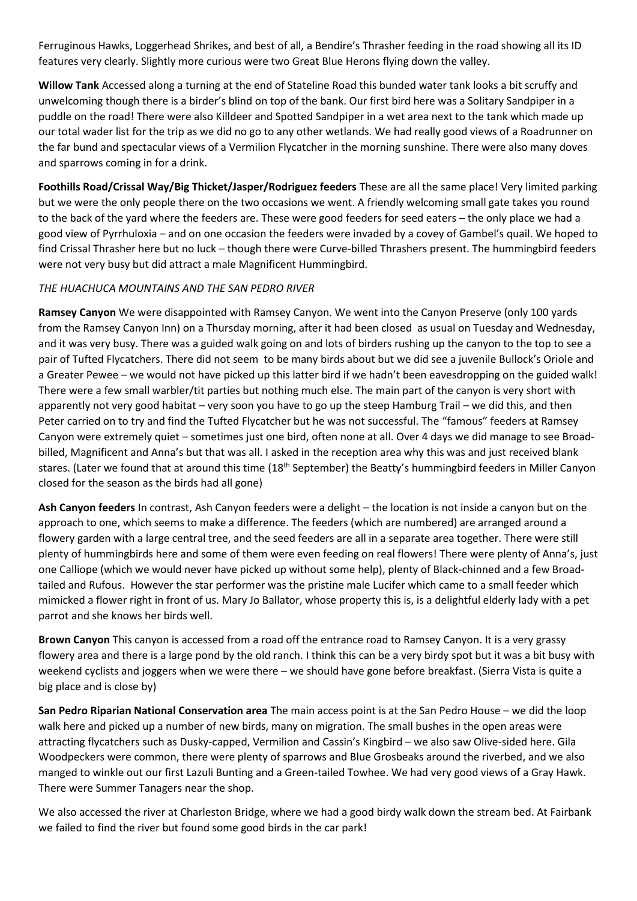Ferruginous Hawks, Loggerhead Shrikes, and best of all, a Bendire's Thrasher feeding in the road showing all its ID features very clearly. Slightly more curious were two Great Blue Herons flying down the valley.

**Willow Tank** Accessed along a turning at the end of Stateline Road this bunded water tank looks a bit scruffy and unwelcoming though there is a birder's blind on top of the bank. Our first bird here was a Solitary Sandpiper in a puddle on the road! There were also Killdeer and Spotted Sandpiper in a wet area next to the tank which made up our total wader list for the trip as we did no go to any other wetlands. We had really good views of a Roadrunner on the far bund and spectacular views of a Vermilion Flycatcher in the morning sunshine. There were also many doves and sparrows coming in for a drink.

**Foothills Road/Crissal Way/Big Thicket/Jasper/Rodriguez feeders** These are all the same place! Very limited parking but we were the only people there on the two occasions we went. A friendly welcoming small gate takes you round to the back of the yard where the feeders are. These were good feeders for seed eaters – the only place we had a good view of Pyrrhuloxia – and on one occasion the feeders were invaded by a covey of Gambel's quail. We hoped to find Crissal Thrasher here but no luck – though there were Curve-billed Thrashers present. The hummingbird feeders were not very busy but did attract a male Magnificent Hummingbird.

### *THE HUACHUCA MOUNTAINS AND THE SAN PEDRO RIVER*

**Ramsey Canyon** We were disappointed with Ramsey Canyon. We went into the Canyon Preserve (only 100 yards from the Ramsey Canyon Inn) on a Thursday morning, after it had been closed as usual on Tuesday and Wednesday, and it was very busy. There was a guided walk going on and lots of birders rushing up the canyon to the top to see a pair of Tufted Flycatchers. There did not seem to be many birds about but we did see a juvenile Bullock's Oriole and a Greater Pewee – we would not have picked up this latter bird if we hadn't been eavesdropping on the guided walk! There were a few small warbler/tit parties but nothing much else. The main part of the canyon is very short with apparently not very good habitat – very soon you have to go up the steep Hamburg Trail – we did this, and then Peter carried on to try and find the Tufted Flycatcher but he was not successful. The "famous" feeders at Ramsey Canyon were extremely quiet – sometimes just one bird, often none at all. Over 4 days we did manage to see Broadbilled, Magnificent and Anna's but that was all. I asked in the reception area why this was and just received blank stares. (Later we found that at around this time (18<sup>th</sup> September) the Beatty's hummingbird feeders in Miller Canyon closed for the season as the birds had all gone)

**Ash Canyon feeders** In contrast, Ash Canyon feeders were a delight – the location is not inside a canyon but on the approach to one, which seems to make a difference. The feeders (which are numbered) are arranged around a flowery garden with a large central tree, and the seed feeders are all in a separate area together. There were still plenty of hummingbirds here and some of them were even feeding on real flowers! There were plenty of Anna's, just one Calliope (which we would never have picked up without some help), plenty of Black-chinned and a few Broadtailed and Rufous. However the star performer was the pristine male Lucifer which came to a small feeder which mimicked a flower right in front of us. Mary Jo Ballator, whose property this is, is a delightful elderly lady with a pet parrot and she knows her birds well.

**Brown Canyon** This canyon is accessed from a road off the entrance road to Ramsey Canyon. It is a very grassy flowery area and there is a large pond by the old ranch. I think this can be a very birdy spot but it was a bit busy with weekend cyclists and joggers when we were there – we should have gone before breakfast. (Sierra Vista is quite a big place and is close by)

**San Pedro Riparian National Conservation area** The main access point is at the San Pedro House – we did the loop walk here and picked up a number of new birds, many on migration. The small bushes in the open areas were attracting flycatchers such as Dusky-capped, Vermilion and Cassin's Kingbird – we also saw Olive-sided here. Gila Woodpeckers were common, there were plenty of sparrows and Blue Grosbeaks around the riverbed, and we also manged to winkle out our first Lazuli Bunting and a Green-tailed Towhee. We had very good views of a Gray Hawk. There were Summer Tanagers near the shop.

We also accessed the river at Charleston Bridge, where we had a good birdy walk down the stream bed. At Fairbank we failed to find the river but found some good birds in the car park!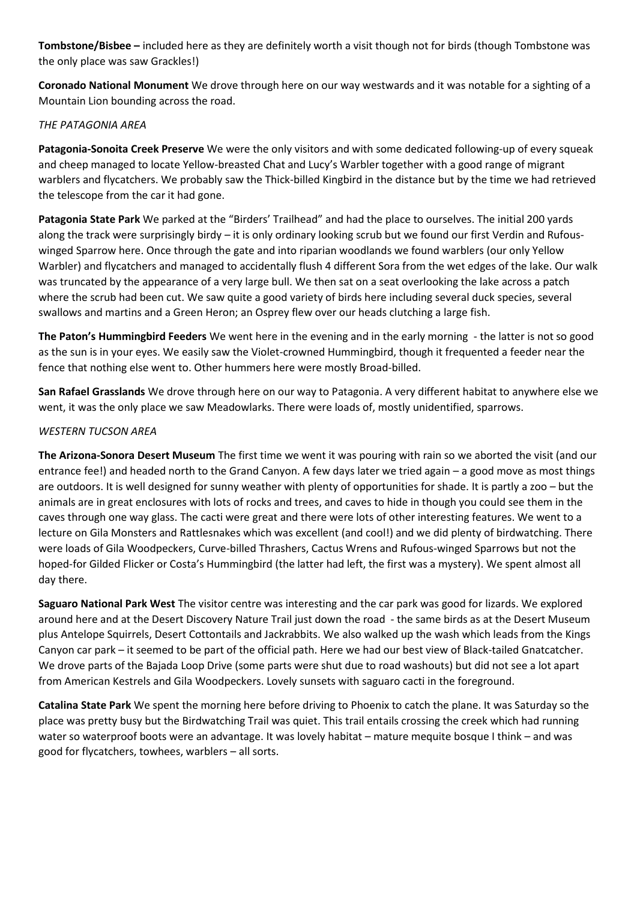**Tombstone/Bisbee –** included here as they are definitely worth a visit though not for birds (though Tombstone was the only place was saw Grackles!)

**Coronado National Monument** We drove through here on our way westwards and it was notable for a sighting of a Mountain Lion bounding across the road.

### *THE PATAGONIA AREA*

**Patagonia-Sonoita Creek Preserve** We were the only visitors and with some dedicated following-up of every squeak and cheep managed to locate Yellow-breasted Chat and Lucy's Warbler together with a good range of migrant warblers and flycatchers. We probably saw the Thick-billed Kingbird in the distance but by the time we had retrieved the telescope from the car it had gone.

**Patagonia State Park** We parked at the "Birders' Trailhead" and had the place to ourselves. The initial 200 yards along the track were surprisingly birdy – it is only ordinary looking scrub but we found our first Verdin and Rufouswinged Sparrow here. Once through the gate and into riparian woodlands we found warblers (our only Yellow Warbler) and flycatchers and managed to accidentally flush 4 different Sora from the wet edges of the lake. Our walk was truncated by the appearance of a very large bull. We then sat on a seat overlooking the lake across a patch where the scrub had been cut. We saw quite a good variety of birds here including several duck species, several swallows and martins and a Green Heron; an Osprey flew over our heads clutching a large fish.

**The Paton's Hummingbird Feeders** We went here in the evening and in the early morning - the latter is not so good as the sun is in your eyes. We easily saw the Violet-crowned Hummingbird, though it frequented a feeder near the fence that nothing else went to. Other hummers here were mostly Broad-billed.

**San Rafael Grasslands** We drove through here on our way to Patagonia. A very different habitat to anywhere else we went, it was the only place we saw Meadowlarks. There were loads of, mostly unidentified, sparrows.

### *WESTERN TUCSON AREA*

**The Arizona-Sonora Desert Museum** The first time we went it was pouring with rain so we aborted the visit (and our entrance fee!) and headed north to the Grand Canyon. A few days later we tried again – a good move as most things are outdoors. It is well designed for sunny weather with plenty of opportunities for shade. It is partly a zoo – but the animals are in great enclosures with lots of rocks and trees, and caves to hide in though you could see them in the caves through one way glass. The cacti were great and there were lots of other interesting features. We went to a lecture on Gila Monsters and Rattlesnakes which was excellent (and cool!) and we did plenty of birdwatching. There were loads of Gila Woodpeckers, Curve-billed Thrashers, Cactus Wrens and Rufous-winged Sparrows but not the hoped-for Gilded Flicker or Costa's Hummingbird (the latter had left, the first was a mystery). We spent almost all day there.

**Saguaro National Park West** The visitor centre was interesting and the car park was good for lizards. We explored around here and at the Desert Discovery Nature Trail just down the road - the same birds as at the Desert Museum plus Antelope Squirrels, Desert Cottontails and Jackrabbits. We also walked up the wash which leads from the Kings Canyon car park – it seemed to be part of the official path. Here we had our best view of Black-tailed Gnatcatcher. We drove parts of the Bajada Loop Drive (some parts were shut due to road washouts) but did not see a lot apart from American Kestrels and Gila Woodpeckers. Lovely sunsets with saguaro cacti in the foreground.

**Catalina State Park** We spent the morning here before driving to Phoenix to catch the plane. It was Saturday so the place was pretty busy but the Birdwatching Trail was quiet. This trail entails crossing the creek which had running water so waterproof boots were an advantage. It was lovely habitat – mature mequite bosque I think – and was good for flycatchers, towhees, warblers – all sorts.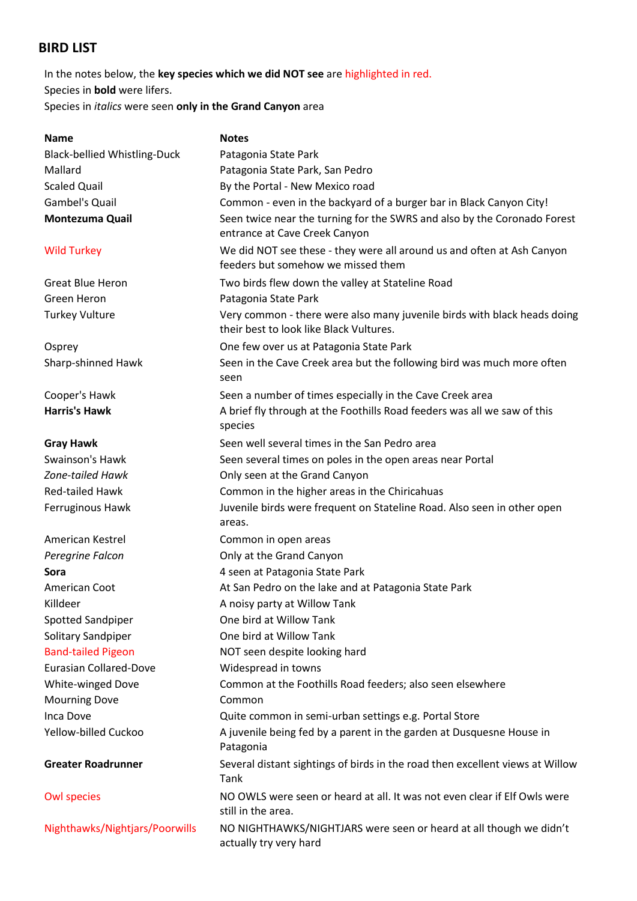## **BIRD LIST**

In the notes below, the **key species which we did NOT see** are highlighted in red. Species in **bold** were lifers. Species in *italics* were seen **only in the Grand Canyon** area

| <b>Name</b>                         | <b>Notes</b>                                                                                                        |
|-------------------------------------|---------------------------------------------------------------------------------------------------------------------|
| <b>Black-bellied Whistling-Duck</b> | Patagonia State Park                                                                                                |
| Mallard                             | Patagonia State Park, San Pedro                                                                                     |
| <b>Scaled Quail</b>                 | By the Portal - New Mexico road                                                                                     |
| <b>Gambel's Quail</b>               | Common - even in the backyard of a burger bar in Black Canyon City!                                                 |
| <b>Montezuma Quail</b>              | Seen twice near the turning for the SWRS and also by the Coronado Forest<br>entrance at Cave Creek Canyon           |
| <b>Wild Turkey</b>                  | We did NOT see these - they were all around us and often at Ash Canyon<br>feeders but somehow we missed them        |
| <b>Great Blue Heron</b>             | Two birds flew down the valley at Stateline Road                                                                    |
| Green Heron                         | Patagonia State Park                                                                                                |
| <b>Turkey Vulture</b>               | Very common - there were also many juvenile birds with black heads doing<br>their best to look like Black Vultures. |
| Osprey                              | One few over us at Patagonia State Park                                                                             |
| Sharp-shinned Hawk                  | Seen in the Cave Creek area but the following bird was much more often<br>seen                                      |
| Cooper's Hawk                       | Seen a number of times especially in the Cave Creek area                                                            |
| <b>Harris's Hawk</b>                | A brief fly through at the Foothills Road feeders was all we saw of this<br>species                                 |
| <b>Gray Hawk</b>                    | Seen well several times in the San Pedro area                                                                       |
| Swainson's Hawk                     | Seen several times on poles in the open areas near Portal                                                           |
| <b>Zone-tailed Hawk</b>             | Only seen at the Grand Canyon                                                                                       |
| <b>Red-tailed Hawk</b>              | Common in the higher areas in the Chiricahuas                                                                       |
| Ferruginous Hawk                    | Juvenile birds were frequent on Stateline Road. Also seen in other open<br>areas.                                   |
| American Kestrel                    | Common in open areas                                                                                                |
| Peregrine Falcon                    | Only at the Grand Canyon                                                                                            |
| Sora                                | 4 seen at Patagonia State Park                                                                                      |
| American Coot                       | At San Pedro on the lake and at Patagonia State Park                                                                |
| Killdeer                            | A noisy party at Willow Tank                                                                                        |
| <b>Spotted Sandpiper</b>            | One bird at Willow Tank                                                                                             |
| Solitary Sandpiper                  | One bird at Willow Tank                                                                                             |
| <b>Band-tailed Pigeon</b>           | NOT seen despite looking hard                                                                                       |
| <b>Eurasian Collared-Dove</b>       | Widespread in towns                                                                                                 |
| White-winged Dove                   | Common at the Foothills Road feeders; also seen elsewhere                                                           |
| <b>Mourning Dove</b>                | Common                                                                                                              |
| Inca Dove                           | Quite common in semi-urban settings e.g. Portal Store                                                               |
| Yellow-billed Cuckoo                | A juvenile being fed by a parent in the garden at Dusquesne House in<br>Patagonia                                   |
| <b>Greater Roadrunner</b>           | Several distant sightings of birds in the road then excellent views at Willow<br>Tank                               |
| <b>Owl species</b>                  | NO OWLS were seen or heard at all. It was not even clear if Elf Owls were<br>still in the area.                     |
| Nighthawks/Nightjars/Poorwills      | NO NIGHTHAWKS/NIGHTJARS were seen or heard at all though we didn't<br>actually try very hard                        |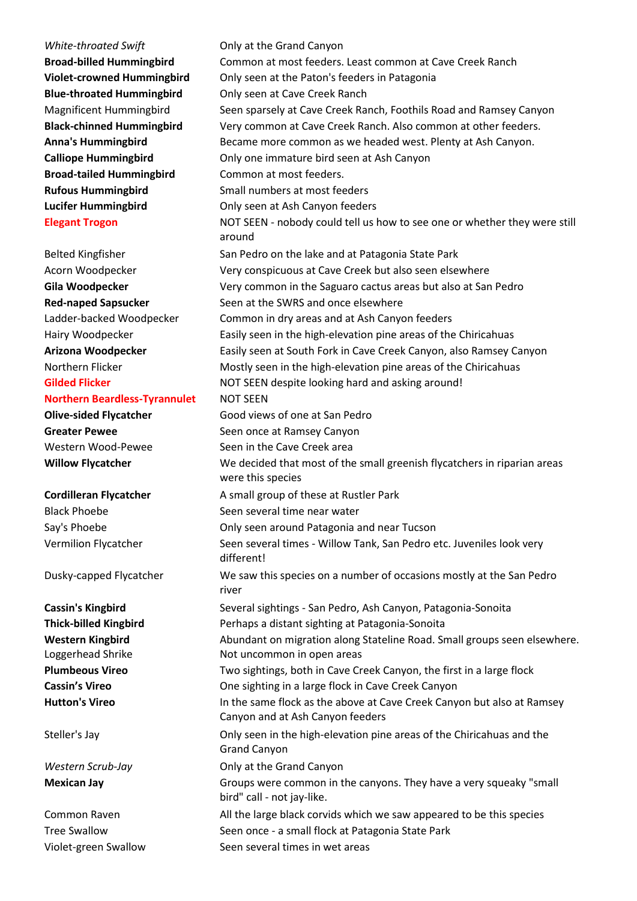*White-throated Swift* **Canyon** Only at the Grand Canyon **Broad-billed Hummingbird Common at most feeders. Least common at Cave Creek Ranch Violet-crowned Hummingbird** Only seen at the Paton's feeders in Patagonia **Blue-throated Hummingbird** Only seen at Cave Creek Ranch Magnificent Hummingbird Seen sparsely at Cave Creek Ranch, Foothils Road and Ramsey Canyon **Black-chinned Hummingbird** Very common at Cave Creek Ranch. Also common at other feeders. **Anna's Hummingbird** Became more common as we headed west. Plenty at Ash Canyon. **Calliope Hummingbird Calliope Hummingbird Canyon Broad-tailed Hummingbird** Common at most feeders. **Rufous Hummingbird** Small numbers at most feeders **Lucifer Hummingbird Canyon Conly seen at Ash Canyon feeders Elegant Trogon** NOT SEEN - nobody could tell us how to see one or whether they were still around Belted Kingfisher San Pedro on the lake and at Patagonia State Park Acorn Woodpecker Very conspicuous at Cave Creek but also seen elsewhere **Gila Woodpecker** Very common in the Saguaro cactus areas but also at San Pedro **Red-naped Sapsucker** Seen at the SWRS and once elsewhere Ladder-backed Woodpecker Common in dry areas and at Ash Canyon feeders Hairy Woodpecker Easily seen in the high-elevation pine areas of the Chiricahuas **Arizona Woodpecker** Easily seen at South Fork in Cave Creek Canyon, also Ramsey Canyon Northern Flicker Mostly seen in the high-elevation pine areas of the Chiricahuas Gilded Flicker **Gilded Flicker NOT SEEN** despite looking hard and asking around! **Northern Beardless-Tyrannulet NOT SEEN Olive-sided Flycatcher Good views of one at San Pedro Greater Pewee** Seen once at Ramsey Canyon Western Wood-Pewee Seen in the Cave Creek area **Willow Flycatcher** We decided that most of the small greenish flycatchers in riparian areas were this species **Cordilleran Flycatcher A small group of these at Rustler Park** Black Phoebe Seen several time near water Say's Phoebe **Only seen around Patagonia and near Tucson** Vermilion Flycatcher Seen several times - Willow Tank, San Pedro etc. Juveniles look very different! Dusky-capped Flycatcher We saw this species on a number of occasions mostly at the San Pedro river **Cassin's Kingbird <b>Sexeral Sexeral sightings** - San Pedro, Ash Canyon, Patagonia-Sonoita **Thick-billed Kingbird** Perhaps a distant sighting at Patagonia-Sonoita **Western Kingbird** Abundant on migration along Stateline Road. Small groups seen elsewhere. Loggerhead Shrike Not uncommon in open areas **Plumbeous Vireo** Two sightings, both in Cave Creek Canyon, the first in a large flock **Cassin's Vireo Cassin's Vireo Cassin's Vireo Cassin's Vireo Cassin's Vireo Cassin**'s **Vireo Cassin**'s **Canyon Hutton's Vireo** In the same flock as the above at Cave Creek Canyon but also at Ramsey Canyon and at Ash Canyon feeders Steller's Jay Only seen in the high-elevation pine areas of the Chiricahuas and the Grand Canyon *Western Scrub-Jay* **Canyon** Only at the Grand Canyon **Mexican Jay Example 20 In 20 Solutions Were common** in the canyons. They have a very squeaky "small bird" call - not jay-like. Common Raven All the large black corvids which we saw appeared to be this species Tree Swallow Seen once - a small flock at Patagonia State Park Violet-green Swallow Seen several times in wet areas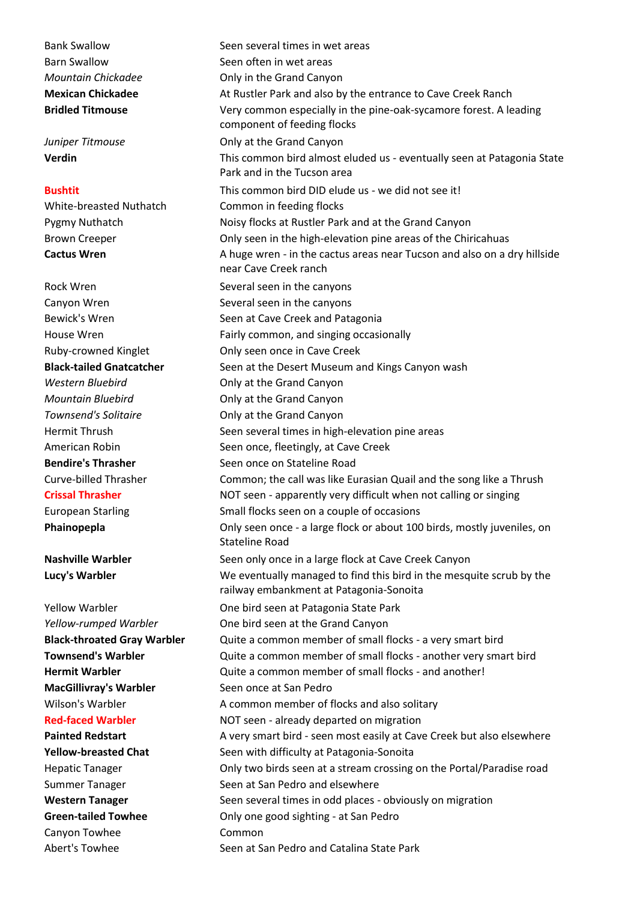Bank Swallow Seen several times in wet areas

**MacGillivray's Warbler Seen once at San Pedro** 

Canyon Towhee Common

Barn Swallow Seen often in wet areas *Mountain Chickadee* **Chickal Canyon** Only in the Grand Canyon **Mexican Chickadee At Rustler Park and also by the entrance to Cave Creek Ranch Bridled Titmouse** Very common especially in the pine-oak-sycamore forest. A leading component of feeding flocks *Juniper Titmouse* **Canyon Only at the Grand Canyon Verdin Verdin This common bird almost eluded us - eventually seen at Patagonia State** Park and in the Tucson area **Bushtit** This common bird DID elude us - we did not see it! White-breasted Nuthatch Common in feeding flocks Pygmy Nuthatch Noisy flocks at Rustler Park and at the Grand Canyon Brown Creeper Only seen in the high-elevation pine areas of the Chiricahuas **Cactus Wren A** huge wren - in the cactus areas near Tucson and also on a dry hillside near Cave Creek ranch Rock Wren Several seen in the canyons Canyon Wren Several seen in the canyons Bewick's Wren Seen at Cave Creek and Patagonia House Wren Fairly common, and singing occasionally Ruby-crowned Kinglet **Only seen once in Cave Creek Black-tailed Gnatcatcher** Seen at the Desert Museum and Kings Canyon wash *Western Bluebird* **Canyon Canyon** Only at the Grand Canyon *Mountain Bluebird* **Canyon Canyon** Only at the Grand Canyon **Townsend's Solitaire Canyon Canyon Canyon** Hermit Thrush Seen several times in high-elevation pine areas American Robin Seen once, fleetingly, at Cave Creek **Bendire's Thrasher Seen once on Stateline Road** Curve-billed Thrasher Common; the call was like Eurasian Quail and the song like a Thrush **Crissal Thrasher NOT seen - apparently very difficult when not calling or singing** European Starling Small flocks seen on a couple of occasions **Phainopepla Only seen once - a large flock or about 100 birds, mostly juveniles, on** Stateline Road **Nashville Warbler** Seen only once in a large flock at Cave Creek Canyon **Lucy's Warbler** We eventually managed to find this bird in the mesquite scrub by the railway embankment at Patagonia-Sonoita Yellow Warbler **Calcular Cone bird seen at Patagonia State Park** *Yellow-rumped Warbler* **Cone bird seen at the Grand Canyon Black-throated Gray Warbler** Quite a common member of small flocks - a very smart bird **Townsend's Warbler Cuite a common member of small flocks - another very smart bird Hermit Warbler Marbler** Quite a common member of small flocks - and another! Wilson's Warbler **A** common member of flocks and also solitary **Red-faced Warbler NOT** seen - already departed on migration **Painted Redstart** A very smart bird - seen most easily at Cave Creek but also elsewhere **Yellow-breasted Chat** Seen with difficulty at Patagonia-Sonoita Hepatic Tanager Only two birds seen at a stream crossing on the Portal/Paradise road Summer Tanager Seen at San Pedro and elsewhere **Western Tanager Seen several times in odd places - obviously on migration Green-tailed Towhee Only one good sighting - at San Pedro** Abert's Towhee Seen at San Pedro and Catalina State Park